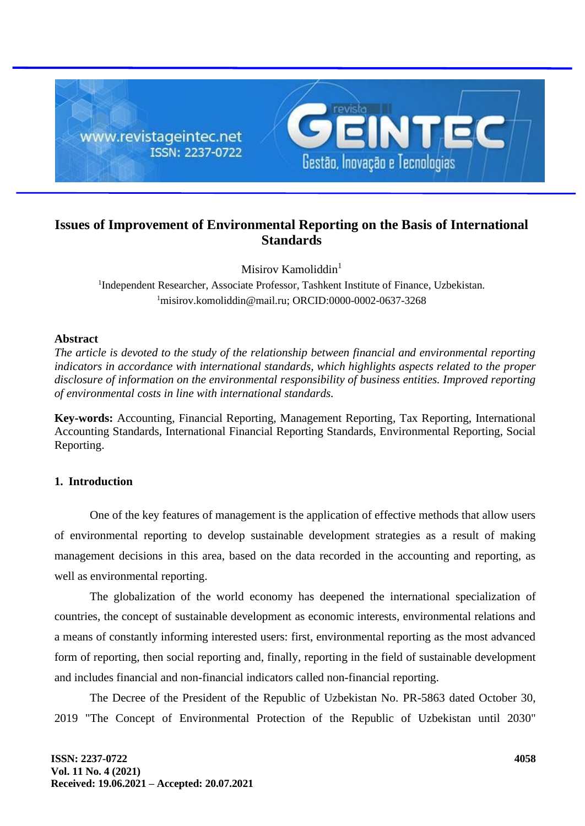

# **Issues of Improvement of Environmental Reporting on the Basis of International Standards**

Misirov Kamoliddin $<sup>1</sup>$ </sup>

<sup>1</sup>Independent Researcher, Associate Professor, Tashkent Institute of Finance, Uzbekistan.  $1$ misirov.komoliddin@mail.ru; ORCID:0000-0002-0637-3268

### **Abstract**

*The article is devoted to the study of the relationship between financial and environmental reporting indicators in accordance with international standards, which highlights aspects related to the proper disclosure of information on the environmental responsibility of business entities. Improved reporting of environmental costs in line with international standards.*

**Key-words:** Accounting, Financial Reporting, Management Reporting, Tax Reporting, International Accounting Standards, International Financial Reporting Standards, Environmental Reporting, Social Reporting.

### **1. Introduction**

One of the key features of management is the application of effective methods that allow users of environmental reporting to develop sustainable development strategies as a result of making management decisions in this area, based on the data recorded in the accounting and reporting, as well as environmental reporting.

The globalization of the world economy has deepened the international specialization of countries, the concept of sustainable development as economic interests, environmental relations and a means of constantly informing interested users: first, environmental reporting as the most advanced form of reporting, then social reporting and, finally, reporting in the field of sustainable development and includes financial and non-financial indicators called non-financial reporting.

The Decree of the President of the Republic of Uzbekistan No. PR-5863 dated October 30, 2019 "The Concept of Environmental Protection of the Republic of Uzbekistan until 2030"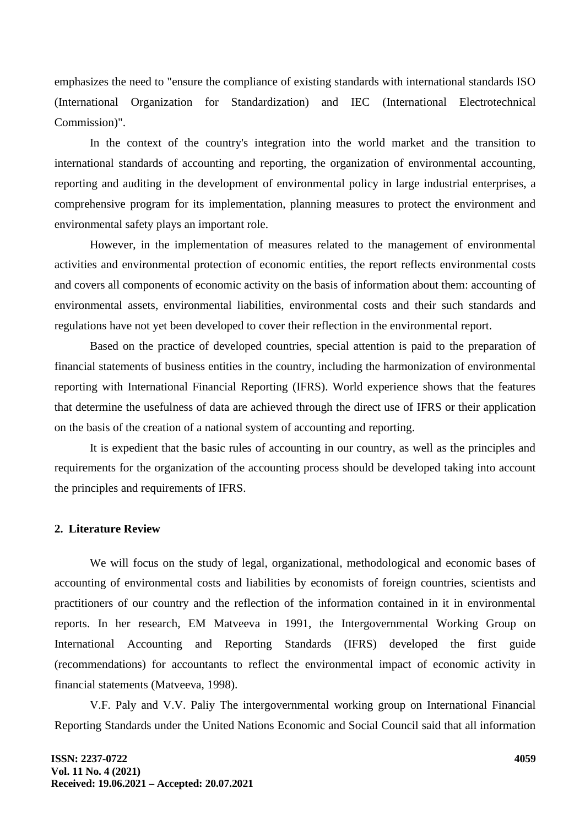emphasizes the need to "ensure the compliance of existing standards with international standards ISO (International Organization for Standardization) and IEC (International Electrotechnical Commission)".

In the context of the country's integration into the world market and the transition to international standards of accounting and reporting, the organization of environmental accounting, reporting and auditing in the development of environmental policy in large industrial enterprises, a comprehensive program for its implementation, planning measures to protect the environment and environmental safety plays an important role.

However, in the implementation of measures related to the management of environmental activities and environmental protection of economic entities, the report reflects environmental costs and covers all components of economic activity on the basis of information about them: accounting of environmental assets, environmental liabilities, environmental costs and their such standards and regulations have not yet been developed to cover their reflection in the environmental report.

Based on the practice of developed countries, special attention is paid to the preparation of financial statements of business entities in the country, including the harmonization of environmental reporting with International Financial Reporting (IFRS). World experience shows that the features that determine the usefulness of data are achieved through the direct use of IFRS or their application on the basis of the creation of a national system of accounting and reporting.

It is expedient that the basic rules of accounting in our country, as well as the principles and requirements for the organization of the accounting process should be developed taking into account the principles and requirements of IFRS.

### **2. Literature Review**

We will focus on the study of legal, organizational, methodological and economic bases of accounting of environmental costs and liabilities by economists of foreign countries, scientists and practitioners of our country and the reflection of the information contained in it in environmental reports. In her research, EM Matveeva in 1991, the Intergovernmental Working Group on International Accounting and Reporting Standards (IFRS) developed the first guide (recommendations) for accountants to reflect the environmental impact of economic activity in financial statements (Matveeva, 1998).

V.F. Paly and V.V. Paliy The intergovernmental working group on International Financial Reporting Standards under the United Nations Economic and Social Council said that all information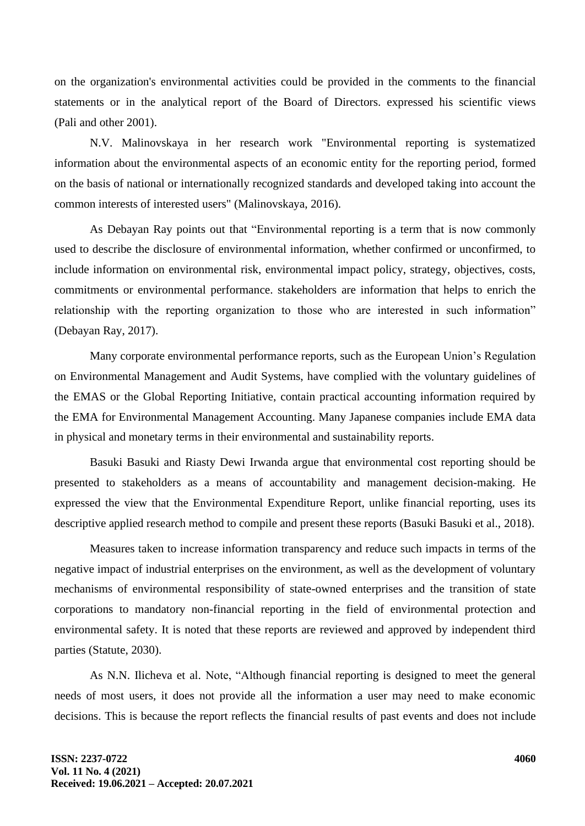on the organization's environmental activities could be provided in the comments to the financial statements or in the analytical report of the Board of Directors. expressed his scientific views (Pali and other 2001).

N.V. Malinovskaya in her research work "Environmental reporting is systematized information about the environmental aspects of an economic entity for the reporting period, formed on the basis of national or internationally recognized standards and developed taking into account the common interests of interested users" (Malinovskaya, 2016).

As Debayan Ray points out that "Environmental reporting is a term that is now commonly used to describe the disclosure of environmental information, whether confirmed or unconfirmed, to include information on environmental risk, environmental impact policy, strategy, objectives, costs, commitments or environmental performance. stakeholders are information that helps to enrich the relationship with the reporting organization to those who are interested in such information" (Debayan Ray, 2017).

Many corporate environmental performance reports, such as the European Union's Regulation on Environmental Management and Audit Systems, have complied with the voluntary guidelines of the EMAS or the Global Reporting Initiative, contain practical accounting information required by the EMA for Environmental Management Accounting. Many Japanese companies include EMA data in physical and monetary terms in their environmental and sustainability reports.

Basuki Basuki and Riasty Dewi Irwanda argue that environmental cost reporting should be presented to stakeholders as a means of accountability and management decision-making. He expressed the view that the Environmental Expenditure Report, unlike financial reporting, uses its descriptive applied research method to compile and present these reports (Basuki Basuki et al., 2018).

Measures taken to increase information transparency and reduce such impacts in terms of the negative impact of industrial enterprises on the environment, as well as the development of voluntary mechanisms of environmental responsibility of state-owned enterprises and the transition of state corporations to mandatory non-financial reporting in the field of environmental protection and environmental safety. It is noted that these reports are reviewed and approved by independent third parties (Statute, 2030).

As N.N. Ilicheva et al. Note, "Although financial reporting is designed to meet the general needs of most users, it does not provide all the information a user may need to make economic decisions. This is because the report reflects the financial results of past events and does not include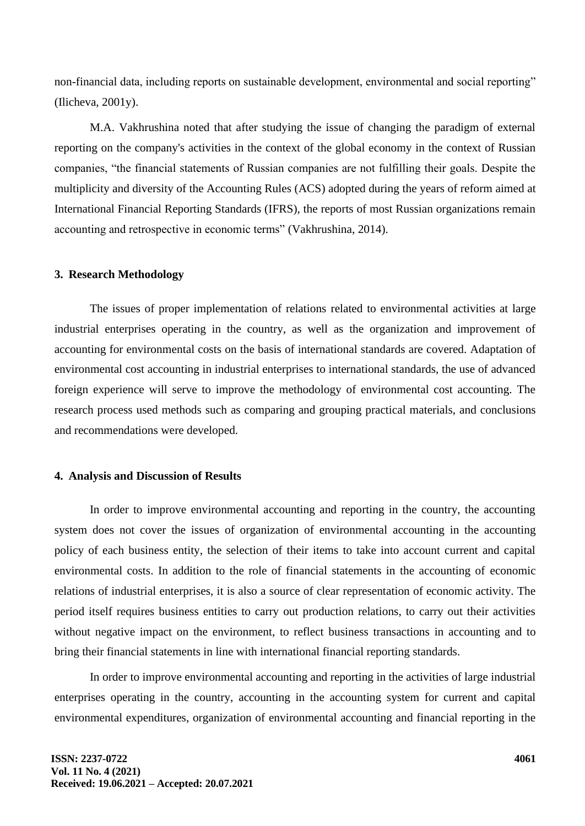non-financial data, including reports on sustainable development, environmental and social reporting" (Ilicheva, 2001y).

M.A. Vakhrushina noted that after studying the issue of changing the paradigm of external reporting on the company's activities in the context of the global economy in the context of Russian companies, "the financial statements of Russian companies are not fulfilling their goals. Despite the multiplicity and diversity of the Accounting Rules (ACS) adopted during the years of reform aimed at International Financial Reporting Standards (IFRS), the reports of most Russian organizations remain accounting and retrospective in economic terms" (Vakhrushina, 2014).

#### **3. Research Methodology**

The issues of proper implementation of relations related to environmental activities at large industrial enterprises operating in the country, as well as the organization and improvement of accounting for environmental costs on the basis of international standards are covered. Adaptation of environmental cost accounting in industrial enterprises to international standards, the use of advanced foreign experience will serve to improve the methodology of environmental cost accounting. The research process used methods such as comparing and grouping practical materials, and conclusions and recommendations were developed.

#### **4. Analysis and Discussion of Results**

In order to improve environmental accounting and reporting in the country, the accounting system does not cover the issues of organization of environmental accounting in the accounting policy of each business entity, the selection of their items to take into account current and capital environmental costs. In addition to the role of financial statements in the accounting of economic relations of industrial enterprises, it is also a source of clear representation of economic activity. The period itself requires business entities to carry out production relations, to carry out their activities without negative impact on the environment, to reflect business transactions in accounting and to bring their financial statements in line with international financial reporting standards.

In order to improve environmental accounting and reporting in the activities of large industrial enterprises operating in the country, accounting in the accounting system for current and capital environmental expenditures, organization of environmental accounting and financial reporting in the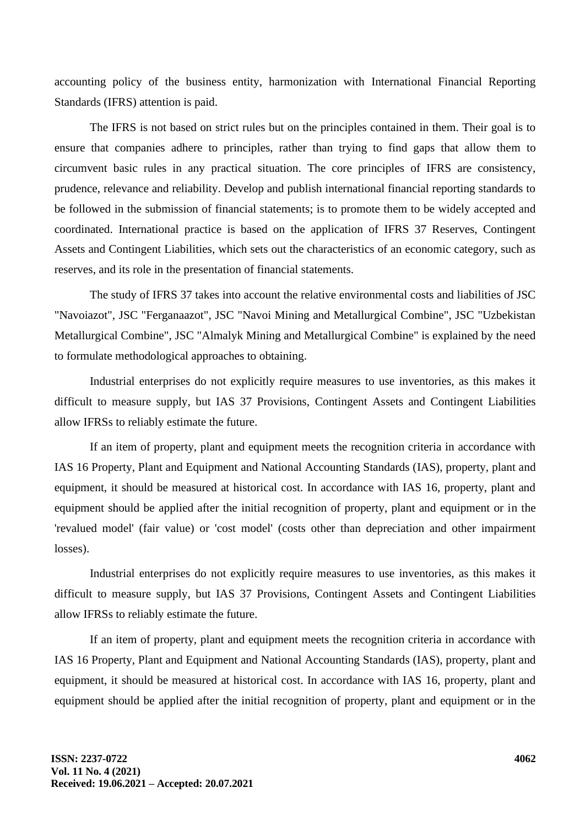accounting policy of the business entity, harmonization with International Financial Reporting Standards (IFRS) attention is paid.

The IFRS is not based on strict rules but on the principles contained in them. Their goal is to ensure that companies adhere to principles, rather than trying to find gaps that allow them to circumvent basic rules in any practical situation. The core principles of IFRS are consistency, prudence, relevance and reliability. Develop and publish international financial reporting standards to be followed in the submission of financial statements; is to promote them to be widely accepted and coordinated. International practice is based on the application of IFRS 37 Reserves, Contingent Assets and Contingent Liabilities, which sets out the characteristics of an economic category, such as reserves, and its role in the presentation of financial statements.

The study of IFRS 37 takes into account the relative environmental costs and liabilities of JSC "Navoiazot", JSC "Ferganaazot", JSC "Navoi Mining and Metallurgical Combine", JSC "Uzbekistan Metallurgical Combine", JSC "Almalyk Mining and Metallurgical Combine" is explained by the need to formulate methodological approaches to obtaining.

Industrial enterprises do not explicitly require measures to use inventories, as this makes it difficult to measure supply, but IAS 37 Provisions, Contingent Assets and Contingent Liabilities allow IFRSs to reliably estimate the future.

If an item of property, plant and equipment meets the recognition criteria in accordance with IAS 16 Property, Plant and Equipment and National Accounting Standards (IAS), property, plant and equipment, it should be measured at historical cost. In accordance with IAS 16, property, plant and equipment should be applied after the initial recognition of property, plant and equipment or in the 'revalued model' (fair value) or 'cost model' (costs other than depreciation and other impairment losses).

Industrial enterprises do not explicitly require measures to use inventories, as this makes it difficult to measure supply, but IAS 37 Provisions, Contingent Assets and Contingent Liabilities allow IFRSs to reliably estimate the future.

If an item of property, plant and equipment meets the recognition criteria in accordance with IAS 16 Property, Plant and Equipment and National Accounting Standards (IAS), property, plant and equipment, it should be measured at historical cost. In accordance with IAS 16, property, plant and equipment should be applied after the initial recognition of property, plant and equipment or in the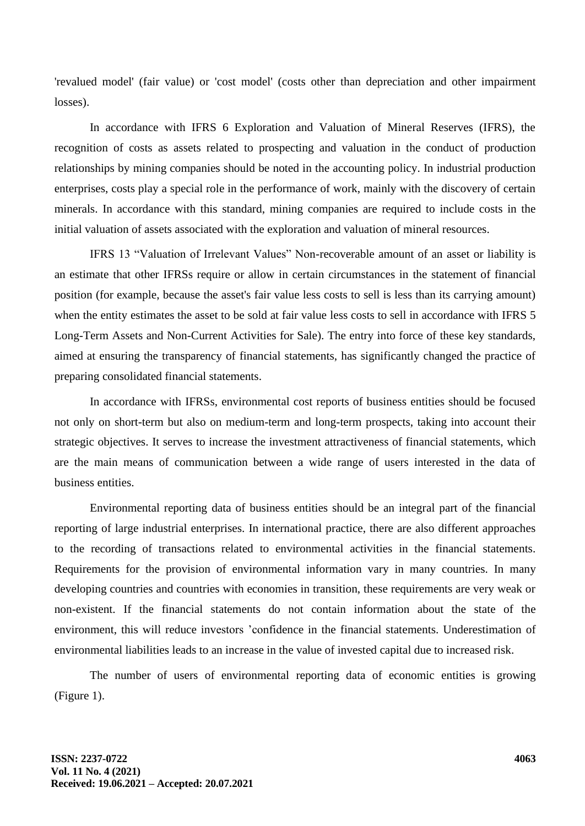'revalued model' (fair value) or 'cost model' (costs other than depreciation and other impairment losses).

In accordance with IFRS 6 Exploration and Valuation of Mineral Reserves (IFRS), the recognition of costs as assets related to prospecting and valuation in the conduct of production relationships by mining companies should be noted in the accounting policy. In industrial production enterprises, costs play a special role in the performance of work, mainly with the discovery of certain minerals. In accordance with this standard, mining companies are required to include costs in the initial valuation of assets associated with the exploration and valuation of mineral resources.

IFRS 13 "Valuation of Irrelevant Values" Non-recoverable amount of an asset or liability is an estimate that other IFRSs require or allow in certain circumstances in the statement of financial position (for example, because the asset's fair value less costs to sell is less than its carrying amount) when the entity estimates the asset to be sold at fair value less costs to sell in accordance with IFRS 5 Long-Term Assets and Non-Current Activities for Sale). The entry into force of these key standards, aimed at ensuring the transparency of financial statements, has significantly changed the practice of preparing consolidated financial statements.

In accordance with IFRSs, environmental cost reports of business entities should be focused not only on short-term but also on medium-term and long-term prospects, taking into account their strategic objectives. It serves to increase the investment attractiveness of financial statements, which are the main means of communication between a wide range of users interested in the data of business entities.

Environmental reporting data of business entities should be an integral part of the financial reporting of large industrial enterprises. In international practice, there are also different approaches to the recording of transactions related to environmental activities in the financial statements. Requirements for the provision of environmental information vary in many countries. In many developing countries and countries with economies in transition, these requirements are very weak or non-existent. If the financial statements do not contain information about the state of the environment, this will reduce investors 'confidence in the financial statements. Underestimation of environmental liabilities leads to an increase in the value of invested capital due to increased risk.

The number of users of environmental reporting data of economic entities is growing (Figure 1).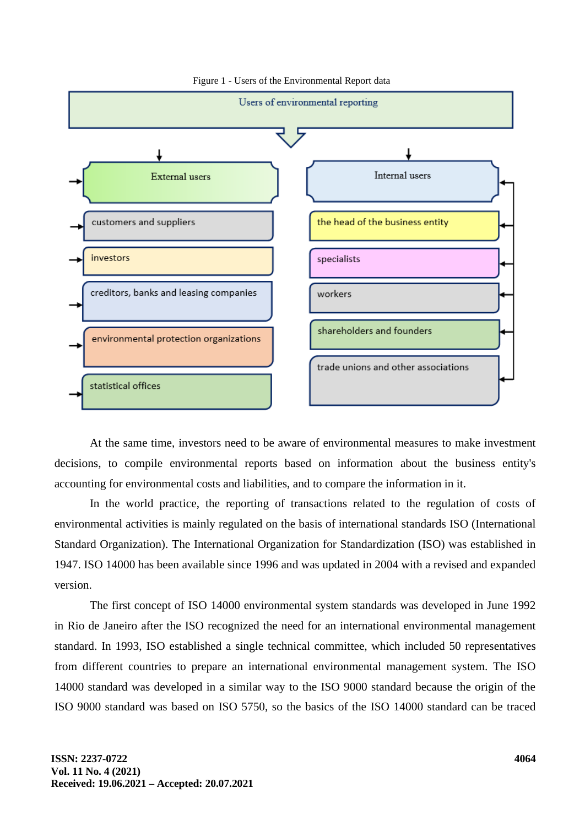

Figure 1 - Users of the Environmental Report data

At the same time, investors need to be aware of environmental measures to make investment decisions, to compile environmental reports based on information about the business entity's accounting for environmental costs and liabilities, and to compare the information in it.

In the world practice, the reporting of transactions related to the regulation of costs of environmental activities is mainly regulated on the basis of international standards ISO (International Standard Organization). The International Organization for Standardization (ISO) was established in 1947. ISO 14000 has been available since 1996 and was updated in 2004 with a revised and expanded version.

The first concept of ISO 14000 environmental system standards was developed in June 1992 in Rio de Janeiro after the ISO recognized the need for an international environmental management standard. In 1993, ISO established a single technical committee, which included 50 representatives from different countries to prepare an international environmental management system. The ISO 14000 standard was developed in a similar way to the ISO 9000 standard because the origin of the ISO 9000 standard was based on ISO 5750, so the basics of the ISO 14000 standard can be traced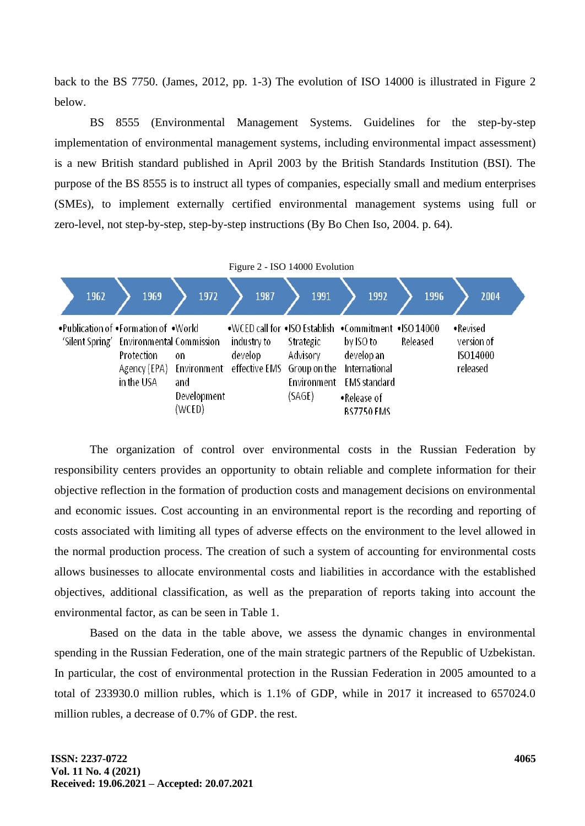back to the BS 7750. (James, 2012, pp. 1-3) The evolution of ISO 14000 is illustrated in Figure 2 below.

BS 8555 (Environmental Management Systems. Guidelines for the step-by-step implementation of environmental management systems, including environmental impact assessment) is a new British standard published in April 2003 by the British Standards Institution (BSI). The purpose of the BS 8555 is to instruct all types of companies, especially small and medium enterprises (SMEs), to implement externally certified environmental management systems using full or zero-level, not step-by-step, step-by-step instructions (By Bo Chen Iso, 2004. p. 64).



The organization of control over environmental costs in the Russian Federation by responsibility centers provides an opportunity to obtain reliable and complete information for their objective reflection in the formation of production costs and management decisions on environmental and economic issues. Cost accounting in an environmental report is the recording and reporting of costs associated with limiting all types of adverse effects on the environment to the level allowed in the normal production process. The creation of such a system of accounting for environmental costs allows businesses to allocate environmental costs and liabilities in accordance with the established objectives, additional classification, as well as the preparation of reports taking into account the environmental factor, as can be seen in Table 1.

Based on the data in the table above, we assess the dynamic changes in environmental spending in the Russian Federation, one of the main strategic partners of the Republic of Uzbekistan. In particular, the cost of environmental protection in the Russian Federation in 2005 amounted to a total of 233930.0 million rubles, which is 1.1% of GDP, while in 2017 it increased to 657024.0 million rubles, a decrease of 0.7% of GDP. the rest.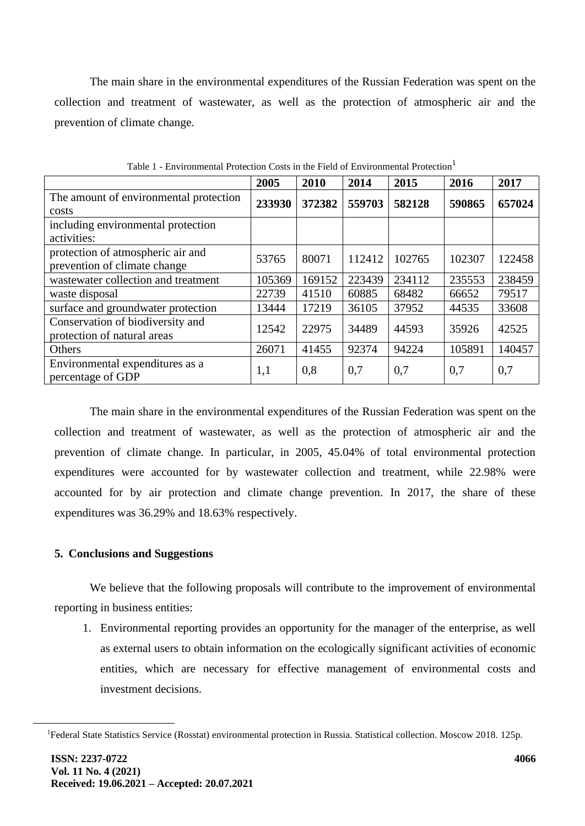The main share in the environmental expenditures of the Russian Federation was spent on the collection and treatment of wastewater, as well as the protection of atmospheric air and the prevention of climate change.

|                                        | 2005   | 2010   | 2014   | 2015   | 2016   | 2017   |
|----------------------------------------|--------|--------|--------|--------|--------|--------|
| The amount of environmental protection | 233930 | 372382 | 559703 | 582128 | 590865 | 657024 |
| costs                                  |        |        |        |        |        |        |
| including environmental protection     |        |        |        |        |        |        |
| activities:                            |        |        |        |        |        |        |
| protection of atmospheric air and      | 53765  | 80071  | 112412 | 102765 | 102307 | 122458 |
| prevention of climate change           |        |        |        |        |        |        |
| wastewater collection and treatment    | 105369 | 169152 | 223439 | 234112 | 235553 | 238459 |
| waste disposal                         | 22739  | 41510  | 60885  | 68482  | 66652  | 79517  |
| surface and groundwater protection     | 13444  | 17219  | 36105  | 37952  | 44535  | 33608  |
| Conservation of biodiversity and       | 12542  | 22975  | 34489  | 44593  | 35926  | 42525  |
| protection of natural areas            |        |        |        |        |        |        |
| Others                                 | 26071  | 41455  | 92374  | 94224  | 105891 | 140457 |
| Environmental expenditures as a        | 1,1    | 0,8    | 0,7    | 0,7    | 0,7    | 0,7    |
| percentage of GDP                      |        |        |        |        |        |        |

Table 1 - Environmental Protection Costs in the Field of Environmental Protection<sup>1</sup>

The main share in the environmental expenditures of the Russian Federation was spent on the collection and treatment of wastewater, as well as the protection of atmospheric air and the prevention of climate change. In particular, in 2005, 45.04% of total environmental protection expenditures were accounted for by wastewater collection and treatment, while 22.98% were accounted for by air protection and climate change prevention. In 2017, the share of these expenditures was 36.29% and 18.63% respectively.

### **5. Conclusions and Suggestions**

We believe that the following proposals will contribute to the improvement of environmental reporting in business entities:

1. Environmental reporting provides an opportunity for the manager of the enterprise, as well as external users to obtain information on the ecologically significant activities of economic entities, which are necessary for effective management of environmental costs and investment decisions.

<sup>&</sup>lt;sup>1</sup>Federal State Statistics Service (Rosstat) environmental protection in Russia. Statistical collection. Moscow 2018. 125p.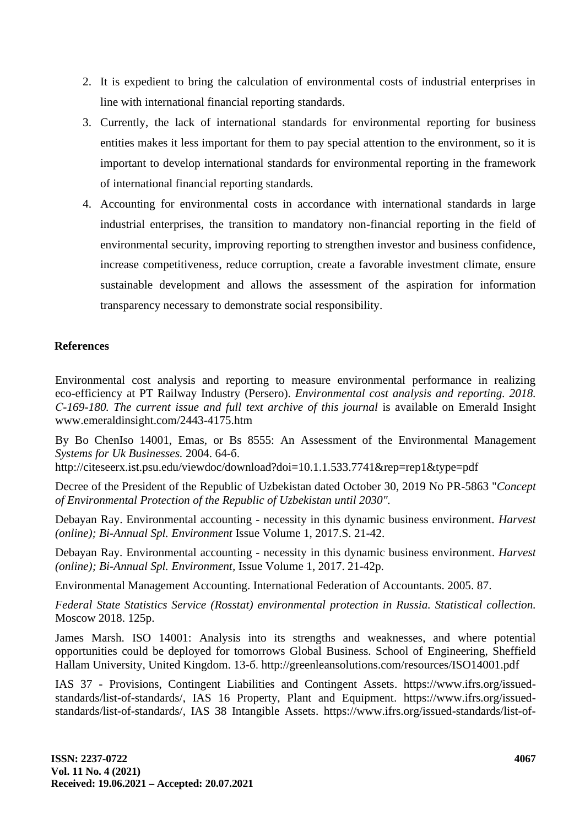- 2. It is expedient to bring the calculation of environmental costs of industrial enterprises in line with international financial reporting standards.
- 3. Currently, the lack of international standards for environmental reporting for business entities makes it less important for them to pay special attention to the environment, so it is important to develop international standards for environmental reporting in the framework of international financial reporting standards.
- 4. Accounting for environmental costs in accordance with international standards in large industrial enterprises, the transition to mandatory non-financial reporting in the field of environmental security, improving reporting to strengthen investor and business confidence, increase competitiveness, reduce corruption, create a favorable investment climate, ensure sustainable development and allows the assessment of the aspiration for information transparency necessary to demonstrate social responsibility.

## **References**

Environmental cost analysis and reporting to measure environmental performance in realizing eco-efficiency at PT Railway Industry (Persero). *Environmental cost analysis and reporting. 2018. С-169-180. The current issue and full text archive of this journal* is available on Emerald Insight www.emeraldinsight.com/2443-4175.htm

By Bo ChenIso 14001, Emas, or Bs 8555: An Assessment of the Environmental Management *Systems for Uk Businesses.* 2004. 64-б.

http://citeseerx.ist.psu.edu/viewdoc/download?doi=10.1.1.533.7741&rep=rep1&type=pdf

Decree of the President of the Republic of Uzbekistan dated October 30, 2019 No PR-5863 "*Concept of Environmental Protection of the Republic of Uzbekistan until 2030".*

Debayan Ray. Environmental accounting - necessity in this dynamic business environment. *Harvest (online); Bi-Annual Spl. Environment* Issue Volume 1, 2017.S. 21-42.

Debayan Ray. Environmental accounting - necessity in this dynamic business environment. *Harvest (online); Bi-Annual Spl. Environment,* Issue Volume 1, 2017. 21-42p.

Environmental Management Accounting. International Federation of Accountants. 2005. 87.

*Federal State Statistics Service (Rosstat) environmental protection in Russia. Statistical collection.* Moscow 2018. 125p.

James Marsh. ISO 14001: Analysis into its strengths and weaknesses, and where potential opportunities could be deployed for tomorrows Global Business. School of Engineering, Sheffield Hallam University, United Kingdom. 13-б. http://greenleansolutions.com/resources/ISO14001.pdf

IAS 37 - Provisions, Contingent Liabilities and Contingent Assets. https://www.ifrs.org/issuedstandards/list-of-standards/, IAS 16 Property, Plant and Equipment. https://www.ifrs.org/issuedstandards/list-of-standards/, IAS 38 Intangible Assets. https://www.ifrs.org/issued-standards/list-of